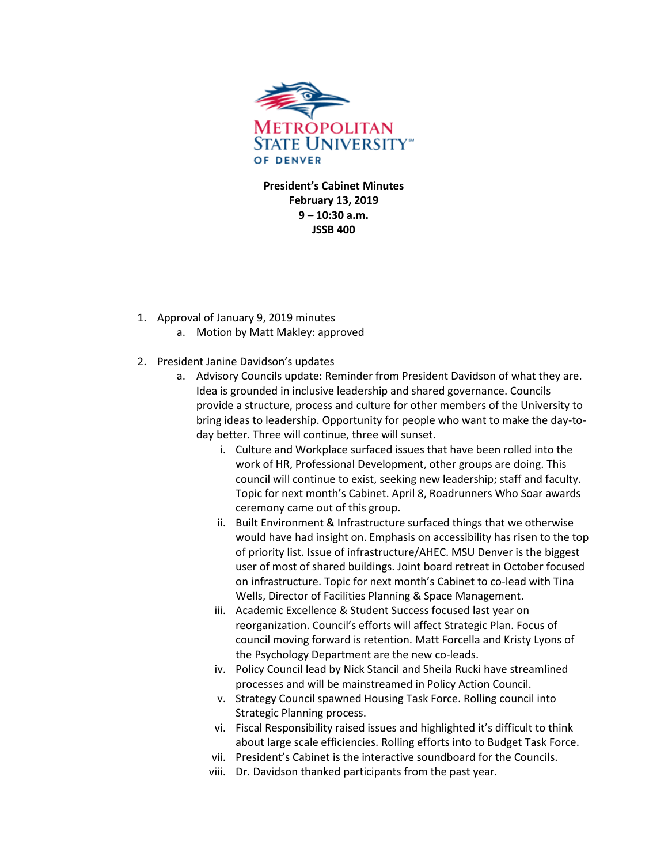

**President's Cabinet Minutes February 13, 2019 9 – 10:30 a.m. JSSB 400** 

- 1. Approval of January 9, 2019 minutes
	- a. Motion by Matt Makley: approved
- 2. President Janine Davidson's updates
	- a. Advisory Councils update: Reminder from President Davidson of what they are. Idea is grounded in inclusive leadership and shared governance. Councils provide a structure, process and culture for other members of the University to bring ideas to leadership. Opportunity for people who want to make the day-today better. Three will continue, three will sunset.
		- i. Culture and Workplace surfaced issues that have been rolled into the work of HR, Professional Development, other groups are doing. This council will continue to exist, seeking new leadership; staff and faculty. Topic for next month's Cabinet. April 8, Roadrunners Who Soar awards ceremony came out of this group.
		- ii. Built Environment & Infrastructure surfaced things that we otherwise would have had insight on. Emphasis on accessibility has risen to the top of priority list. Issue of infrastructure/AHEC. MSU Denver is the biggest user of most of shared buildings. Joint board retreat in October focused on infrastructure. Topic for next month's Cabinet to co-lead with Tina Wells, Director of Facilities Planning & Space Management.
		- iii. Academic Excellence & Student Success focused last year on reorganization. Council's efforts will affect Strategic Plan. Focus of council moving forward is retention. Matt Forcella and Kristy Lyons of the Psychology Department are the new co-leads.
		- iv. Policy Council lead by Nick Stancil and Sheila Rucki have streamlined processes and will be mainstreamed in Policy Action Council.
		- v. Strategy Council spawned Housing Task Force. Rolling council into Strategic Planning process.
		- vi. Fiscal Responsibility raised issues and highlighted it's difficult to think about large scale efficiencies. Rolling efforts into to Budget Task Force.
		- vii. President's Cabinet is the interactive soundboard for the Councils.
		- viii. Dr. Davidson thanked participants from the past year.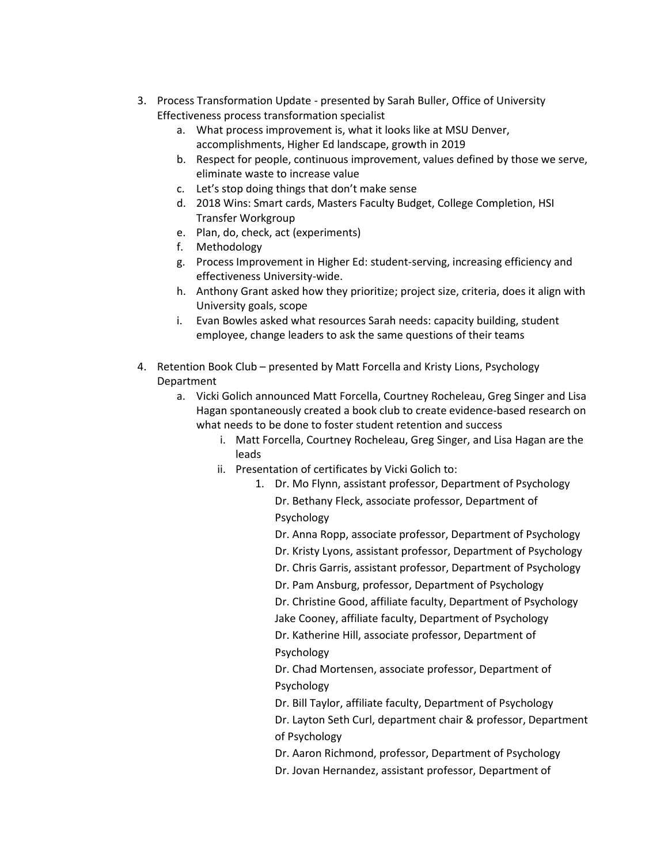- 3. Process Transformation Update presented by Sarah Buller, Office of University Effectiveness process transformation specialist
	- a. What process improvement is, what it looks like at MSU Denver, accomplishments, Higher Ed landscape, growth in 2019
	- b. Respect for people, continuous improvement, values defined by those we serve, eliminate waste to increase value
	- c. Let's stop doing things that don't make sense
	- d. 2018 Wins: Smart cards, Masters Faculty Budget, College Completion, HSI Transfer Workgroup
	- e. Plan, do, check, act (experiments)
	- f. Methodology
	- g. Process Improvement in Higher Ed: student-serving, increasing efficiency and effectiveness University-wide.
	- h. Anthony Grant asked how they prioritize; project size, criteria, does it align with University goals, scope
	- i. Evan Bowles asked what resources Sarah needs: capacity building, student employee, change leaders to ask the same questions of their teams
- 4. Retention Book Club presented by Matt Forcella and Kristy Lions, Psychology Department
	- a. Vicki Golich announced Matt Forcella, Courtney Rocheleau, Greg Singer and Lisa Hagan spontaneously created a book club to create evidence-based research on what needs to be done to foster student retention and success
		- i. Matt Forcella, Courtney Rocheleau, Greg Singer, and Lisa Hagan are the leads
		- ii. Presentation of certificates by Vicki Golich to:
			- 1. Dr. Mo Flynn, assistant professor, Department of Psychology Dr. Bethany Fleck, associate professor, Department of Psychology

Dr. Anna Ropp, associate professor, Department of Psychology Dr. Kristy Lyons, assistant professor, Department of Psychology Dr. Chris Garris, assistant professor, Department of Psychology

Dr. Pam Ansburg, professor, Department of Psychology

Dr. Christine Good, affiliate faculty, Department of Psychology

Jake Cooney, affiliate faculty, Department of Psychology Dr. Katherine Hill, associate professor, Department of Psychology

Dr. Chad Mortensen, associate professor, Department of Psychology

Dr. Bill Taylor, affiliate faculty, Department of Psychology Dr. Layton Seth Curl, department chair & professor, Department of Psychology

- Dr. Aaron Richmond, professor, Department of Psychology
- Dr. Jovan Hernandez, assistant professor, Department of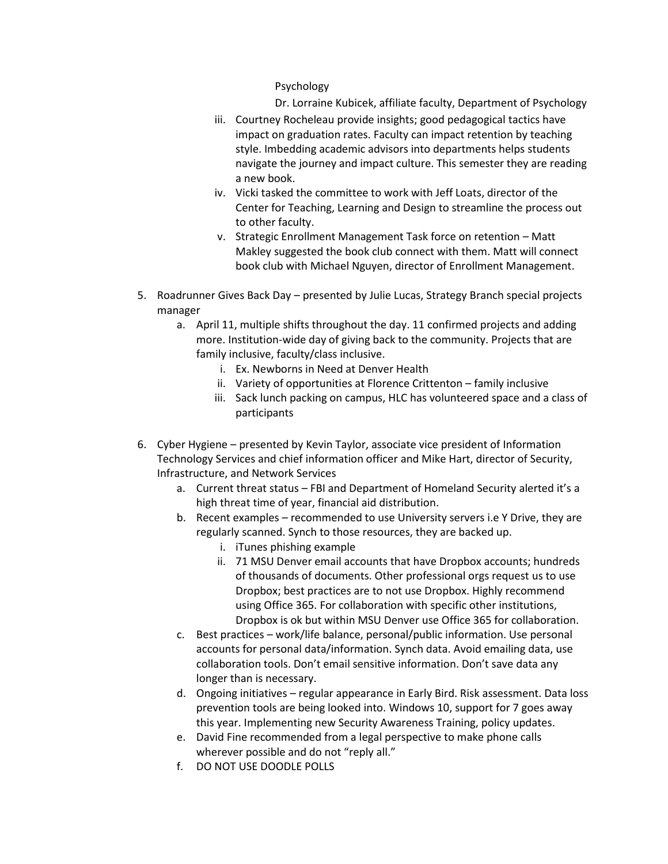Psychology

Dr. Lorraine Kubicek, affiliate faculty, Department of Psychology

- iii. Courtney Rocheleau provide insights; good pedagogical tactics have impact on graduation rates. Faculty can impact retention by teaching style. Imbedding academic advisors into departments helps students navigate the journey and impact culture. This semester they are reading a new book.
- iv. Vicki tasked the committee to work with Jeff Loats, director of the Center for Teaching, Learning and Design to streamline the process out to other faculty.
- v. Strategic Enrollment Management Task force on retention Matt Makley suggested the book club connect with them. Matt will connect book club with Michael Nguyen, director of Enrollment Management.
- 5. Roadrunner Gives Back Day presented by Julie Lucas, Strategy Branch special projects manager
	- a. April 11, multiple shifts throughout the day. 11 confirmed projects and adding more. Institution-wide day of giving back to the community. Projects that are family inclusive, faculty/class inclusive.
		- i. Ex. Newborns in Need at Denver Health
		- ii. Variety of opportunities at Florence Crittenton family inclusive
		- iii. Sack lunch packing on campus, HLC has volunteered space and a class of participants
- 6. Cyber Hygiene presented by Kevin Taylor, associate vice president of Information Technology Services and chief information officer and Mike Hart, director of Security, Infrastructure, and Network Services
	- a. Current threat status FBI and Department of Homeland Security alerted it's a high threat time of year, financial aid distribution.
	- b. Recent examples recommended to use University servers i.e Y Drive, they are regularly scanned. Synch to those resources, they are backed up.
		- i. iTunes phishing example
		- ii. 71 MSU Denver email accounts that have Dropbox accounts; hundreds of thousands of documents. Other professional orgs request us to use Dropbox; best practices are to not use Dropbox. Highly recommend using Office 365. For collaboration with specific other institutions, Dropbox is ok but within MSU Denver use Office 365 for collaboration.
	- c. Best practices work/life balance, personal/public information. Use personal accounts for personal data/information. Synch data. Avoid emailing data, use collaboration tools. Don't email sensitive information. Don't save data any longer than is necessary.
	- d. Ongoing initiatives regular appearance in Early Bird. Risk assessment. Data loss prevention tools are being looked into. Windows 10, support for 7 goes away this year. Implementing new Security Awareness Training, policy updates.
	- e. David Fine recommended from a legal perspective to make phone calls wherever possible and do not "reply all."
	- f. DO NOT USE DOODLE POLLS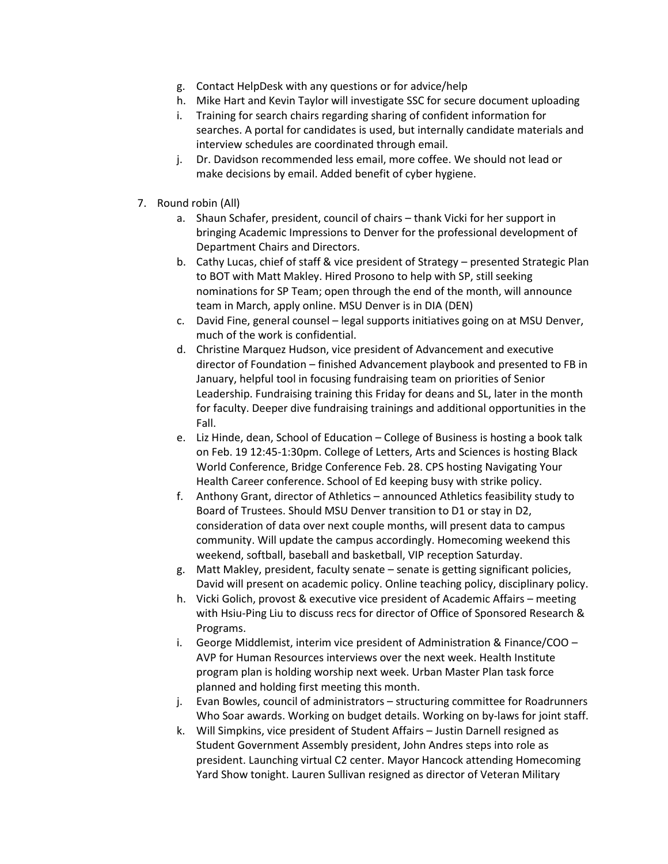- g. Contact HelpDesk with any questions or for advice/help
- h. Mike Hart and Kevin Taylor will investigate SSC for secure document uploading
- i. Training for search chairs regarding sharing of confident information for searches. A portal for candidates is used, but internally candidate materials and interview schedules are coordinated through email.
- j. Dr. Davidson recommended less email, more coffee. We should not lead or make decisions by email. Added benefit of cyber hygiene.
- 7. Round robin (All)
	- a. Shaun Schafer, president, council of chairs thank Vicki for her support in bringing Academic Impressions to Denver for the professional development of Department Chairs and Directors.
	- b. Cathy Lucas, chief of staff & vice president of Strategy presented Strategic Plan to BOT with Matt Makley. Hired Prosono to help with SP, still seeking nominations for SP Team; open through the end of the month, will announce team in March, apply online. MSU Denver is in DIA (DEN)
	- c. David Fine, general counsel legal supports initiatives going on at MSU Denver, much of the work is confidential.
	- d. Christine Marquez Hudson, vice president of Advancement and executive director of Foundation – finished Advancement playbook and presented to FB in January, helpful tool in focusing fundraising team on priorities of Senior Leadership. Fundraising training this Friday for deans and SL, later in the month for faculty. Deeper dive fundraising trainings and additional opportunities in the Fall.
	- e. Liz Hinde, dean, School of Education College of Business is hosting a book talk on Feb. 19 12:45-1:30pm. College of Letters, Arts and Sciences is hosting Black World Conference, Bridge Conference Feb. 28. CPS hosting Navigating Your Health Career conference. School of Ed keeping busy with strike policy.
	- f. Anthony Grant, director of Athletics announced Athletics feasibility study to Board of Trustees. Should MSU Denver transition to D1 or stay in D2, consideration of data over next couple months, will present data to campus community. Will update the campus accordingly. Homecoming weekend this weekend, softball, baseball and basketball, VIP reception Saturday.
	- g. Matt Makley, president, faculty senate senate is getting significant policies, David will present on academic policy. Online teaching policy, disciplinary policy.
	- h. Vicki Golich, provost & executive vice president of Academic Affairs meeting with Hsiu-Ping Liu to discuss recs for director of Office of Sponsored Research & Programs.
	- i. George Middlemist, interim vice president of Administration & Finance/COO AVP for Human Resources interviews over the next week. Health Institute program plan is holding worship next week. Urban Master Plan task force planned and holding first meeting this month.
	- j. Evan Bowles, council of administrators structuring committee for Roadrunners Who Soar awards. Working on budget details. Working on by-laws for joint staff.
	- k. Will Simpkins, vice president of Student Affairs Justin Darnell resigned as Student Government Assembly president, John Andres steps into role as president. Launching virtual C2 center. Mayor Hancock attending Homecoming Yard Show tonight. Lauren Sullivan resigned as director of Veteran Military